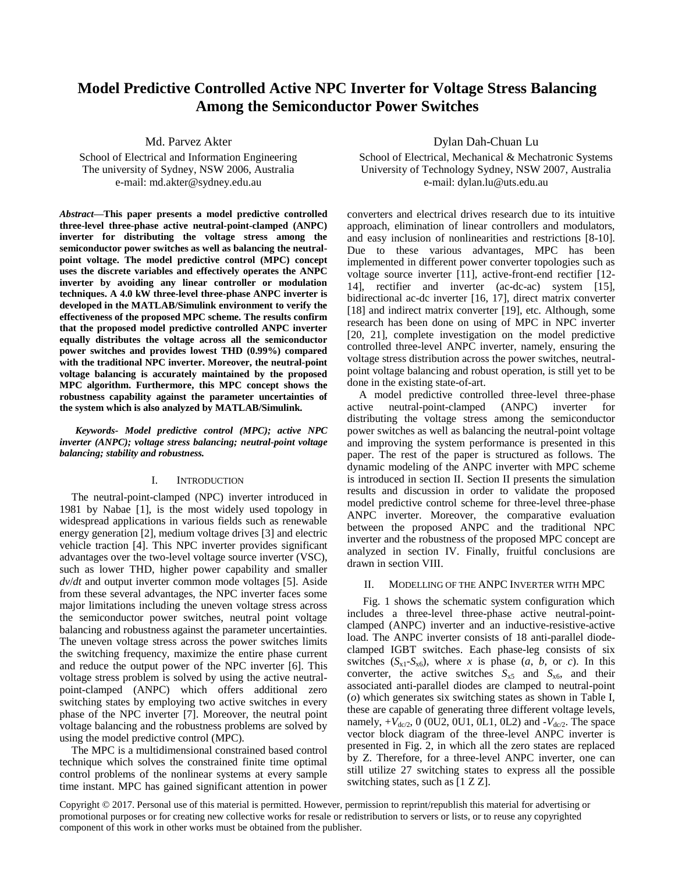# **Model Predictive Controlled Active NPC Inverter for Voltage Stress Balancing Among the Semiconductor Power Switches**

Md. Parvez Akter

School of Electrical and Information Engineering The university of Sydney, NSW 2006, Australia e-mail: md.akter@sydney.edu.au

*Abstract***—This paper presents a model predictive controlled three-level three-phase active neutral-point-clamped (ANPC) inverter for distributing the voltage stress among the semiconductor power switches as well as balancing the neutralpoint voltage. The model predictive control (MPC) concept uses the discrete variables and effectively operates the ANPC inverter by avoiding any linear controller or modulation techniques. A 4.0 kW three-level three-phase ANPC inverter is developed in the MATLAB/Simulink environment to verify the effectiveness of the proposed MPC scheme. The results confirm that the proposed model predictive controlled ANPC inverter equally distributes the voltage across all the semiconductor power switches and provides lowest THD (0.99%) compared with the traditional NPC inverter. Moreover, the neutral-point voltage balancing is accurately maintained by the proposed MPC algorithm. Furthermore, this MPC concept shows the robustness capability against the parameter uncertainties of the system which is also analyzed by MATLAB/Simulink.**

*Keywords- Model predictive control (MPC); active NPC inverter (ANPC); voltage stress balancing; neutral-point voltage balancing; stability and robustness.* 

### I. INTRODUCTION

The neutral-point-clamped (NPC) inverter introduced in 1981 by Nabae [\[1\]](#page-4-0), is the most widely used topology in widespread applications in various fields such as renewable energy generation [\[2\]](#page-4-1), medium voltage drives [\[3\]](#page-4-2) and electric vehicle traction [\[4\]](#page-4-3). This NPC inverter provides significant advantages over the two-level voltage source inverter (VSC), such as lower THD, higher power capability and smaller *dv*/*dt* and output inverter common mode voltages [\[5\]](#page-4-4). Aside from these several advantages, the NPC inverter faces some major limitations including the uneven voltage stress across the semiconductor power switches, neutral point voltage balancing and robustness against the parameter uncertainties. The uneven voltage stress across the power switches limits the switching frequency, maximize the entire phase current and reduce the output power of the NPC inverter [\[6\]](#page-4-5). This voltage stress problem is solved by using the active neutralpoint-clamped (ANPC) which offers additional zero switching states by employing two active switches in every phase of the NPC inverter [\[7\]](#page-4-6). Moreover, the neutral point voltage balancing and the robustness problems are solved by using the model predictive control (MPC).

The MPC is a multidimensional constrained based control technique which solves the constrained finite time optimal control problems of the nonlinear systems at every sample time instant. MPC has gained significant attention in power Dylan Dah-Chuan Lu

School of Electrical, Mechanical & Mechatronic Systems University of Technology Sydney, NSW 2007, Australia e-mail: dylan.lu@uts.edu.au

converters and electrical drives research due to its intuitive approach, elimination of linear controllers and modulators, and easy inclusion of nonlinearities and restrictions [\[8-10\]](#page-4-7). Due to these various advantages, MPC has been implemented in different power converter topologies such as voltage source inverter [\[11\]](#page-4-8), active-front-end rectifier [\[12-](#page-4-9) [14\]](#page-4-9), rectifier and inverter (ac-dc-ac) system [\[15\]](#page-4-10), bidirectional ac-dc inverter [\[16,](#page-4-11) [17\]](#page-4-12), direct matrix converter [\[18\]](#page-4-13) and indirect matrix converter [\[19\]](#page-4-14), etc. Although, some research has been done on using of MPC in NPC inverter [\[20,](#page-4-15) [21\]](#page-4-16), complete investigation on the model predictive controlled three-level ANPC inverter, namely, ensuring the voltage stress distribution across the power switches, neutralpoint voltage balancing and robust operation, is still yet to be done in the existing state-of-art.

A model predictive controlled three-level three-phase active neutral-point-clamped (ANPC) inverter for distributing the voltage stress among the semiconductor power switches as well as balancing the neutral-point voltage and improving the system performance is presented in this paper. The rest of the paper is structured as follows. The dynamic modeling of the ANPC inverter with MPC scheme is introduced in section II. Section II presents the simulation results and discussion in order to validate the proposed model predictive control scheme for three-level three-phase ANPC inverter. Moreover, the comparative evaluation between the proposed ANPC and the traditional NPC inverter and the robustness of the proposed MPC concept are analyzed in section IV. Finally, fruitful conclusions are drawn in section VIII.

# II. MODELLING OF THE ANPC INVERTER WITH MPC

Fig. 1 shows the schematic system configuration which includes a three-level three-phase active neutral-pointclamped (ANPC) inverter and an inductive-resistive-active load. The ANPC inverter consists of 18 anti-parallel diodeclamped IGBT switches. Each phase-leg consists of six switches  $(S_{x1} - S_{x6})$ , where *x* is phase  $(a, b, \text{ or } c)$ . In this converter, the active switches  $S_{x5}$  and  $S_{x6}$ , and their associated anti-parallel diodes are clamped to neutral-point (*o*) which generates six switching states as shown in Table I, these are capable of generating three different voltage levels, namely,  $+V_{dc/2}$ , 0 (0U2, 0U1, 0L1, 0L2) and  $-V_{dc/2}$ . The space vector block diagram of the three-level ANPC inverter is presented in Fig. 2, in which all the zero states are replaced by Z. Therefore, for a three-level ANPC inverter, one can still utilize 27 switching states to express all the possible switching states, such as [1 Z Z].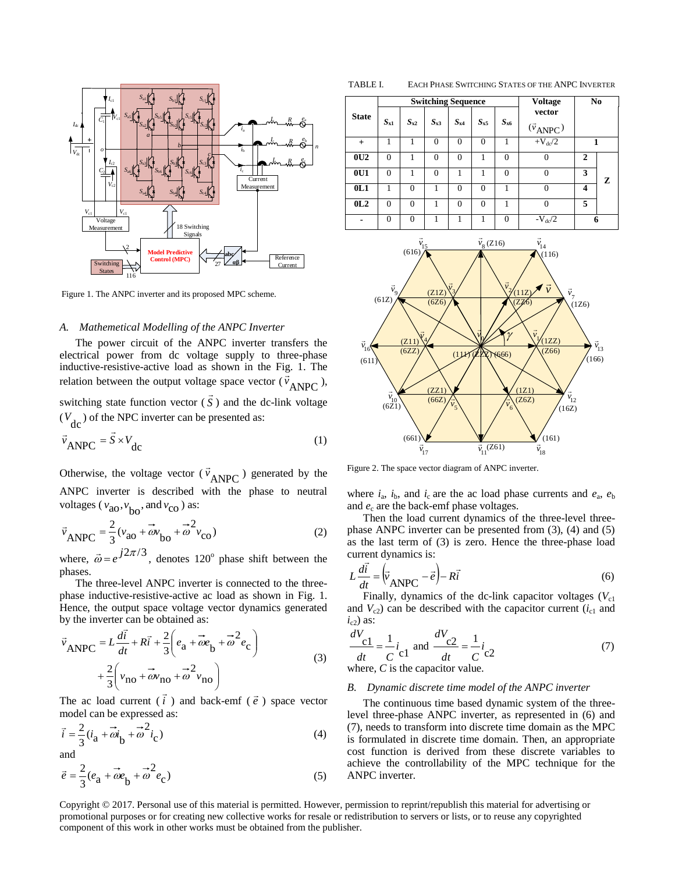

Figure 1. The ANPC inverter and its proposed MPC scheme.

# *A. Mathemetical Modelling of the ANPC Inverter*

The power circuit of the ANPC inverter transfers the electrical power from dc voltage supply to three-phase inductive-resistive-active load as shown in the Fig. 1. The relation between the output voltage space vector  $(\vec{v}_{\text{ANPC}})$ ,

switching state function vector ( *S*  $\overline{\phantom{a}}$ ) and the dc-link voltage  $(V<sub>dc</sub>)$  of the NPC inverter can be presented as:

$$
\vec{v}_{\text{ANPC}} = \vec{S} \times V_{\text{dc}}
$$
 (1)

Otherwise, the voltage vector  $(\vec{v}_{ANPC})$  generated by the ANPC inverter is described with the phase to neutral voltages ( $v_{\text{ao}}, v_{\text{bo}}$ , and  $v_{\text{co}}$ ) as:

$$
\vec{v}_{\text{ANPC}} = \frac{2}{3} (v_{\text{ao}} + \vec{\omega} v_{\text{bo}} + \vec{\omega}^2 v_{\text{co}})
$$
 (2)

where,  $\vec{\omega} = e^{j2\pi/3}$ , denotes 120<sup>°</sup> phase shift between the phases.

The three-level ANPC inverter is connected to the threephase inductive-resistive-active ac load as shown in Fig. 1. Hence, the output space voltage vector dynamics generated by the inverter can be obtained as:

$$
\vec{v}_{\text{ANPC}} = L\frac{d\vec{t}}{dt} + R\vec{t} + \frac{2}{3}\left(e_{\text{a}} + \vec{\omega}e_{\text{b}} + \vec{\omega}^2 e_{\text{c}}\right) + \frac{2}{3}\left(v_{\text{no}} + \vec{\omega}v_{\text{no}} + \vec{\omega}^2 v_{\text{no}}\right)
$$
\n(3)

The ac load current ( *i* ) and back-emf  $(\vec{e})$  space vector model can be expressed as:

$$
\vec{i} = \frac{2}{3} (i_{\mathbf{a}} + \vec{\omega} i_{\mathbf{b}} + \vec{\omega}^2 i_{\mathbf{c}})
$$
 (4)

and

$$
\vec{e} = \frac{2}{3}(e_{\mathbf{a}} + \vec{\omega}e_{\mathbf{b}} + \vec{\omega}^2 e_{\mathbf{c}})
$$
 (5)

TABLE I. EACH PHASE SWITCHING STATES OF THE ANPC INVERTER

|              |                |          | <b>Switching Sequence</b> |          | <b>Voltage</b> | N <sub>0</sub> |                                     |                         |   |
|--------------|----------------|----------|---------------------------|----------|----------------|----------------|-------------------------------------|-------------------------|---|
| <b>State</b> | $S_{x1}$       | $S_{x2}$ | $S_{x3}$                  | $S_{x4}$ | $S_{x5}$       | $S_{\rm x6}$   | vector<br>$(\vec{v}_{\text{ANPC}})$ |                         |   |
| $+$          |                | 1        | $\Omega$                  | $\theta$ | $\Omega$       | 1              | $+V_{dc}/2$                         |                         |   |
| 0U2          | $\theta$       |          | $\theta$                  | $\theta$ |                | $\overline{0}$ | $\Omega$                            | 2                       |   |
| 0U1          | $\theta$       |          | $\theta$                  |          |                | $\theta$       | 0                                   | 3                       | z |
| 0L1          |                | $\theta$ |                           | $\theta$ | $\Omega$       |                | 0                                   | $\overline{\mathbf{4}}$ |   |
| 0L2          | $\theta$       | $\theta$ | 1                         | $\theta$ | $\theta$       | 1              | 0                                   | 5                       |   |
|              | $\overline{0}$ | 0        |                           |          |                | $\overline{0}$ | $-V_{\text{dc}}/2$                  | 6                       |   |



Figure 2. The space vector diagram of ANPC inverter.

where  $i_a$ ,  $i_b$ , and  $i_c$  are the ac load phase currents and  $e_a$ ,  $e_b$ and  $e_c$  are the back-emf phase voltages.

Then the load current dynamics of the three-level threephase ANPC inverter can be presented from (3), (4) and (5) as the last term of (3) is zero. Hence the three-phase load current dynamics is:

$$
L\frac{d\vec{i}}{dt} = \left(\vec{v}_{\text{ANPC}} - \vec{e}\right) - R\vec{i}
$$
 (6)

Finally, dynamics of the dc-link capacitor voltages  $(V_{c1})$ and  $V_{c2}$ ) can be described with the capacitor current ( $i_{c1}$  and  $i_{c2}$ ) as:

$$
\frac{dV_{\text{c1}}}{dt} = \frac{1}{C} i_{\text{c1}} \text{ and } \frac{dV_{\text{c2}}}{dt} = \frac{1}{C} i_{\text{c2}}
$$
\nwhere, C is the capacitor value. (7)

#### *B. Dynamic discrete time model of the ANPC inverter*

The continuous time based dynamic system of the threelevel three-phase ANPC inverter, as represented in (6) and (7), needs to transform into discrete time domain as the MPC is formulated in discrete time domain. Then, an appropriate cost function is derived from these discrete variables to achieve the controllability of the MPC technique for the ANPC inverter.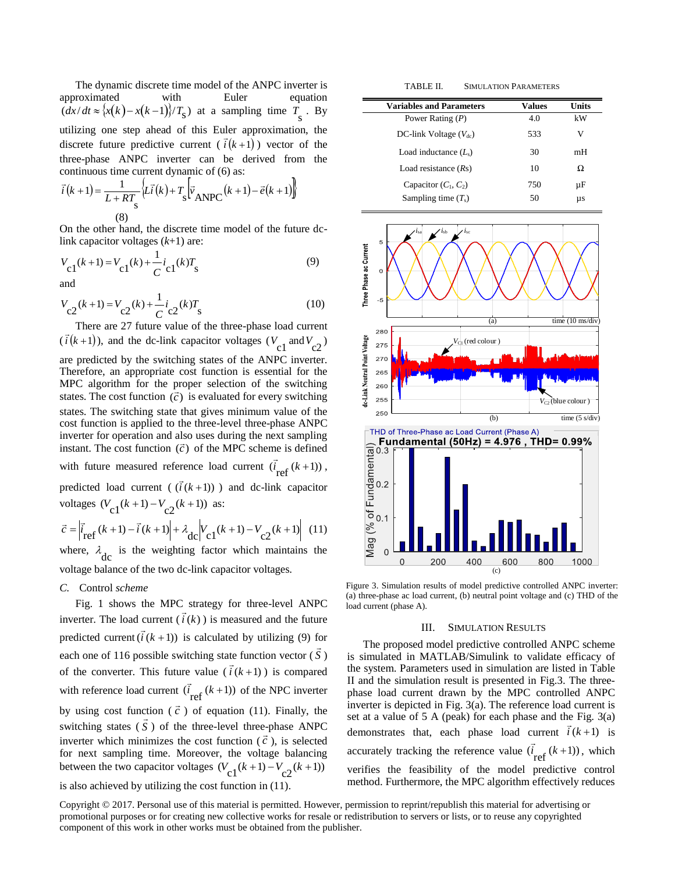The dynamic discrete time model of the ANPC inverter is approximated with Euler equation  $\left(\frac{dx}{dt} \approx \frac{x(k) - x(k-1)}{T_s}\right)$  at a sampling time  $T_s$ . By utilizing one step ahead of this Euler approximation, the discrete future predictive current  $(\bar{i}(k+1))$  vector of the three-phase ANPC inverter can be derived from the continuous time current dynamic of (6) as:

$$
\vec{i}(k+1) = \frac{1}{L + RT_s} \left\{ L\vec{i}(k) + T_s \left[ \vec{v}_{\text{ANPC}}(k+1) - \vec{e}(k+1) \right] \right\}
$$
\n(8)

On the other hand, the discrete time model of the future dclink capacitor voltages (*k*+1) are:

$$
V_{c1}(k+1) = V_{c1}(k) + \frac{1}{C}i_{c1}(k)T_{s}
$$
\nand\n(9)

 $c2^{(k)T}$ s  $V_{c2}(k+1) = V_{c2}(k) + \frac{1}{C}i_{c2}(k)T$  $V_{\alpha}(k+1) = V_{\alpha}(k) + \frac{1}{2}i_{\alpha}(k)T$  (10)

There are 27 future value of the three-phase load current  $(\vec{i}(k+1))$ , and the dc-link capacitor voltages  $(V_{c1} \text{ and } V_{c2})$ are predicted by the switching states of the ANPC inverter. Therefore, an appropriate cost function is essential for the MPC algorithm for the proper selection of the switching states. The cost function  $(\vec{c})$  is evaluated for every switching states. The switching state that gives minimum value of the cost function is applied to the three-level three-phase ANPC inverter for operation and also uses during the next sampling<br>interact  $\overline{B}$  and  $\overline{C}$  and  $\overline{C}$  and  $\overline{D}$  and  $\overline{D}$  and  $\overline{D}$  and  $\overline{D}$  and  $\overline{D}$  and  $\overline{D}$  and  $\overline{D}$  and  $\overline{D}$  and  $\overline{D}$ instant. The cost function  $(\vec{c})$  of the MPC scheme is defined with future measured reference load current  $(\vec{i}_{ref}(k+1))$ , predicted load current ( $(\vec{i}(k+1))$ ) and dc-link capacitor voltages  $(V_{c1}(k+1) - V_{c2}(k+1))$  as:

$$
\vec{c} = \left| \vec{i}_{\text{ref}}(k+1) - \vec{i}(k+1) \right| + \lambda_{\text{dc}} \left| V_{\text{c1}}(k+1) - V_{\text{c2}}(k+1) \right| \tag{11}
$$
\nwhere  $\lambda$  is the weighting factor which maintains the

where,  $\lambda_{\text{dc}}$  is the weighting factor which maintains the voltage balance of the two dc-link capacitor voltages.

# *C.* Control *scheme*

Fig. 1 shows the MPC strategy for three-level ANPC inverter. The load current  $(i(k))$  is measured and the future predicted current  $(i (k + 1))$  $\overline{a}$ is calculated by utilizing (9) for each one of 116 possible switching state function vector ( *S*  $\overline{a}$ te function vector  $(S)$ of the converter. This future value  $(i(k+1))$  is compared with reference load current  $(\vec{i}_{ref}(k+1))$ of the NPC inverter by using cost function  $(\vec{c})$  of equation (11). Finally, the switching states ( *S* ) of the three-level three-phase ANPC inverter which minimizes the cost function  $(\vec{c})$ , is selected for next sampling time. Moreover, the voltage balancing between the two capacitor voltages  $(V_{c1}(k+1) - V_{c2}(k+1))$ 

# is also achieved by utilizing the cost function in (11).

TABLE II. SIMULATION PARAMETERS

| <b>Variables and Parameters</b> | Values | Units |
|---------------------------------|--------|-------|
| Power Rating $(P)$              | 4.0    | kW    |
| DC-link Voltage $(V_{dc})$      | 533    | V     |
| Load inductance $(L_s)$         | 30     | mH    |
| Load resistance $(Rs)$          | 10     | Ω     |
| Capacitor $(C_1, C_2)$          | 750    | μF    |
| Sampling time $(T_s)$           | 50     | μs    |



Figure 3. Simulation results of model predictive controlled ANPC inverter: (a) three-phase ac load current, (b) neutral point voltage and (c) THD of the load current (phase A).

#### III. SIMULATION RESULTS

The proposed model predictive controlled ANPC scheme is simulated in MATLAB/Simulink to validate efficacy of the system. Parameters used in simulation are listed in Table II and the simulation result is presented in Fig.3. The threephase load current drawn by the MPC controlled ANPC inverter is depicted in Fig. 3(a). The reference load current is set at a value of 5 A (peak) for each phase and the Fig.  $3(a)$ demonstrates that, each phase load current  $\vec{i}(k+1)$  is accurately tracking the reference value  $(i \atop {\text{ref}} (k+1))$  $\overline{a}$ , which verifies the feasibility of the model predictive control method. Furthermore, the MPC algorithm effectively reduces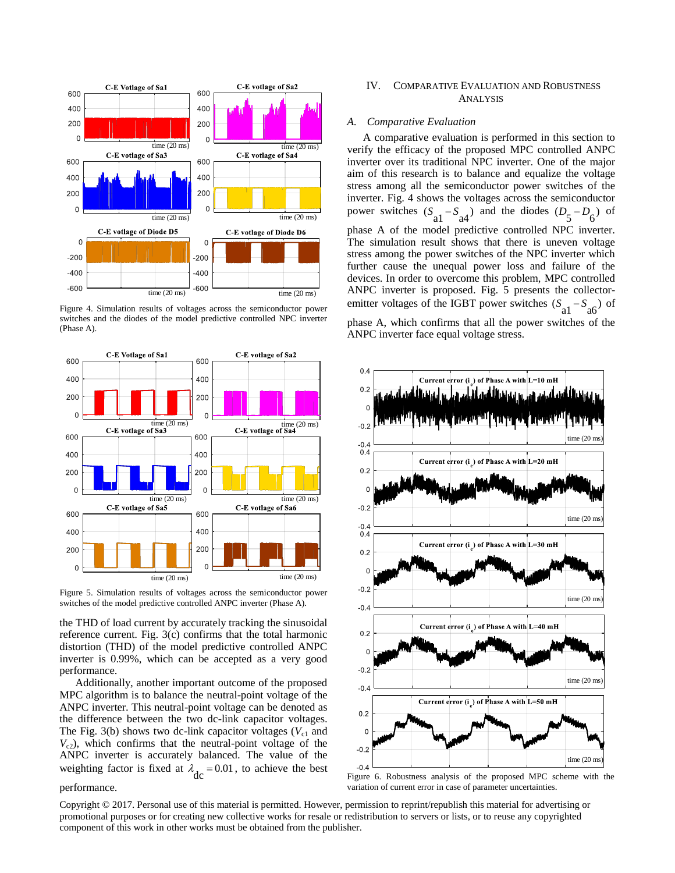

Figure 4. Simulation results of voltages across the semiconductor power switches and the diodes of the model predictive controlled NPC inverter (Phase A).



Figure 5. Simulation results of voltages across the semiconductor power switches of the model predictive controlled ANPC inverter (Phase A).

the THD of load current by accurately tracking the sinusoidal reference current. Fig. 3(c) confirms that the total harmonic distortion (THD) of the model predictive controlled ANPC inverter is 0.99%, which can be accepted as a very good performance.

Additionally, another important outcome of the proposed MPC algorithm is to balance the neutral-point voltage of the ANPC inverter. This neutral-point voltage can be denoted as the difference between the two dc-link capacitor voltages. The Fig. 3(b) shows two dc-link capacitor voltages  $(V_{c1}$  and  $V_{c2}$ ), which confirms that the neutral-point voltage of the ANPC inverter is accurately balanced. The value of the weighting factor is fixed at  $\lambda_{\text{dc}} = 0.01$ , to achieve the best

#### performance.

# IV. COMPARATIVE EVALUATION AND ROBUSTNESS ANALYSIS

## *A. Comparative Evaluation*

A comparative evaluation is performed in this section to verify the efficacy of the proposed MPC controlled ANPC inverter over its traditional NPC inverter. One of the major aim of this research is to balance and equalize the voltage stress among all the semiconductor power switches of the inverter. Fig. 4 shows the voltages across the semiconductor power switches  $(S_{a1} - S_{a4})$  and the diodes  $(D_5 - D_6)$  of phase A of the model predictive controlled NPC inverter. The simulation result shows that there is uneven voltage stress among the power switches of the NPC inverter which further cause the unequal power loss and failure of the devices. In order to overcome this problem, MPC controlled ANPC inverter is proposed. Fig. 5 presents the collectoremitter voltages of the IGBT power switches  $(S_{a1} - S_{a6})$  of

phase A, which confirms that all the power switches of the ANPC inverter face equal voltage stress.



Figure 6. Robustness analysis of the proposed MPC scheme with the variation of current error in case of parameter uncertainties.